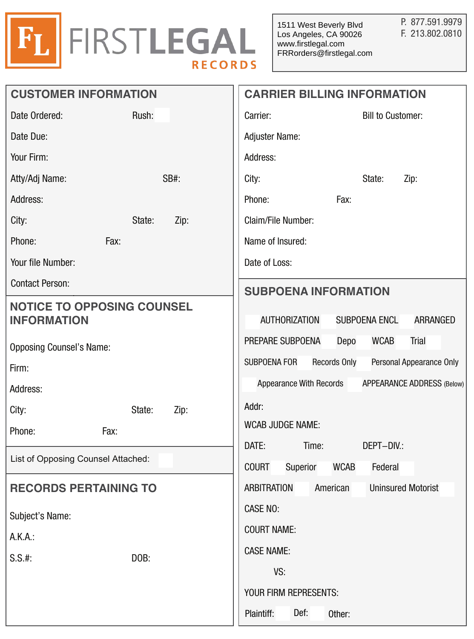

| <b>CUSTOMER INFORMATION</b>                                                                | <b>CARRIER BILLING INFORMATION</b> |                                            |                     |                                     |                                   |
|--------------------------------------------------------------------------------------------|------------------------------------|--------------------------------------------|---------------------|-------------------------------------|-----------------------------------|
| Date Ordered:<br>Rush:                                                                     |                                    | Carrier:                                   |                     | <b>Bill to Customer:</b>            |                                   |
| Date Due:                                                                                  |                                    | <b>Adjuster Name:</b>                      |                     |                                     |                                   |
| Your Firm:                                                                                 |                                    | Address:                                   |                     |                                     |                                   |
| Atty/Adj Name:                                                                             | SB#:                               | City:                                      |                     | State:                              | Zip:                              |
| Address:                                                                                   |                                    | Phone:                                     | Fax:                |                                     |                                   |
| City:<br>State:                                                                            | Zip:                               | Claim/File Number:                         |                     |                                     |                                   |
| Fax:<br>Phone:                                                                             |                                    | Name of Insured:                           |                     |                                     |                                   |
| Your file Number:                                                                          |                                    | Date of Loss:                              |                     |                                     |                                   |
| <b>Contact Person:</b>                                                                     |                                    | <b>SUBPOENA INFORMATION</b>                |                     |                                     |                                   |
| <b>NOTICE TO OPPOSING COUNSEL</b><br><b>INFORMATION</b><br><b>Opposing Counsel's Name:</b> |                                    | AUTHORIZATION<br>PREPARE SUBPOENA          | Depo                | <b>SUBPOENA ENCL</b><br><b>WCAB</b> | ARRANGED<br>Trial                 |
|                                                                                            |                                    | SUBPOENA FOR                               | <b>Records Only</b> |                                     | Personal Appearance Only          |
| Firm:<br>Address:                                                                          |                                    | <b>Appearance With Records</b>             |                     |                                     | <b>APPEARANCE ADDRESS (Below)</b> |
| City:<br>State:                                                                            | Zip:                               | Addr:                                      |                     |                                     |                                   |
| Phone:<br>Fax:                                                                             |                                    | <b>WCAB JUDGE NAME:</b>                    |                     |                                     |                                   |
| List of Opposing Counsel Attached:                                                         |                                    | DATE:<br>Time:<br><b>COURT</b><br>Superior | <b>WCAB</b>         | DEPT-DIV.:<br>Federal               |                                   |
| <b>RECORDS PERTAINING TO</b><br>Subject's Name:<br>A.K.A.:<br>DOB:<br>$S.S.$ #:            |                                    | <b>ARBITRATION</b>                         | American            |                                     | <b>Uninsured Motorist</b>         |
|                                                                                            |                                    | <b>CASE NO:</b>                            |                     |                                     |                                   |
|                                                                                            |                                    | <b>COURT NAME:</b>                         |                     |                                     |                                   |
|                                                                                            |                                    | <b>CASE NAME:</b>                          |                     |                                     |                                   |
|                                                                                            |                                    | VS:                                        |                     |                                     |                                   |
|                                                                                            |                                    | YOUR FIRM REPRESENTS:                      |                     |                                     |                                   |
|                                                                                            |                                    | Def:<br>Plaintiff:<br>Other:               |                     |                                     |                                   |
|                                                                                            |                                    |                                            |                     |                                     |                                   |